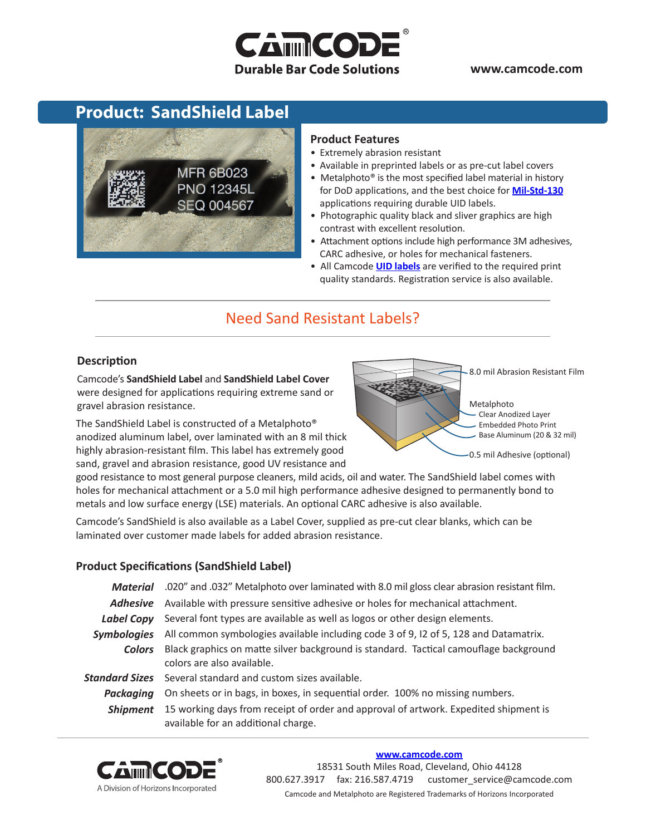# **CAMMCOD Durable Bar Code Solutions**

**www.camcode.com**

## **Product: SandShield Label**



#### **Product Features**

- Extremely abrasion resistant
- Available in preprinted labels or as pre-cut label covers
- Metalphoto® is the most specified label material in history for DoD applications, and the best choice for **[Mil-Std-130](http://www.camcode.com/mil-std-130.html)** applications requiring durable UID labels.
- Photographic quality black and sliver graphics are high contrast with excellent resolution.
- Attachment options include high performance 3M adhesives, CARC adhesive, or holes for mechanical fasteners.
- All Camcode **[UID labels](http://www.camcode.com/uid-labels.html)** are verified to the required print quality standards. Registration service is also available.

### Need Sand Resistant Labels?

#### **Description**

Camcode's **SandShield Label** and **SandShield Label Cover** were designed for applications requiring extreme sand or gravel abrasion resistance.

The SandShield Label is constructed of a Metalphoto® anodized aluminum label, over laminated with an 8 mil thick highly abrasion-resistant film. This label has extremely good sand, gravel and abrasion resistance, good UV resistance and



good resistance to most general purpose cleaners, mild acids, oil and water. The SandShield label comes with holes for mechanical attachment or a 5.0 mil high performance adhesive designed to permanently bond to metals and low surface energy (LSE) materials. An optional CARC adhesive is also available.

Camcode's SandShield is also available as a Label Cover, supplied as pre-cut clear blanks, which can be laminated over customer made labels for added abrasion resistance.

#### **Product Specifications (SandShield Label)**

| .020" and .032" Metalphoto over laminated with 8.0 mil gloss clear abrasion resistant film.                                 |  |  |
|-----------------------------------------------------------------------------------------------------------------------------|--|--|
| Available with pressure sensitive adhesive or holes for mechanical attachment.                                              |  |  |
| Several font types are available as well as logos or other design elements.                                                 |  |  |
| All common symbologies available including code 3 of 9, I2 of 5, 128 and Datamatrix.                                        |  |  |
| Black graphics on matte silver background is standard. Tactical camouflage background<br>colors are also available.         |  |  |
| Several standard and custom sizes available.                                                                                |  |  |
| On sheets or in bags, in boxes, in sequential order. 100% no missing numbers.                                               |  |  |
| 15 working days from receipt of order and approval of artwork. Expedited shipment is<br>available for an additional charge. |  |  |
|                                                                                                                             |  |  |



#### **[www.camcode.com](http://www.camcode.com)**

18531 South Miles Road, Cleveland, Ohio 44128 800.627.3917 fax: 216.587.4719 customer\_service@camcode.com Camcode and Metalphoto are Registered Trademarks of Horizons Incorporated